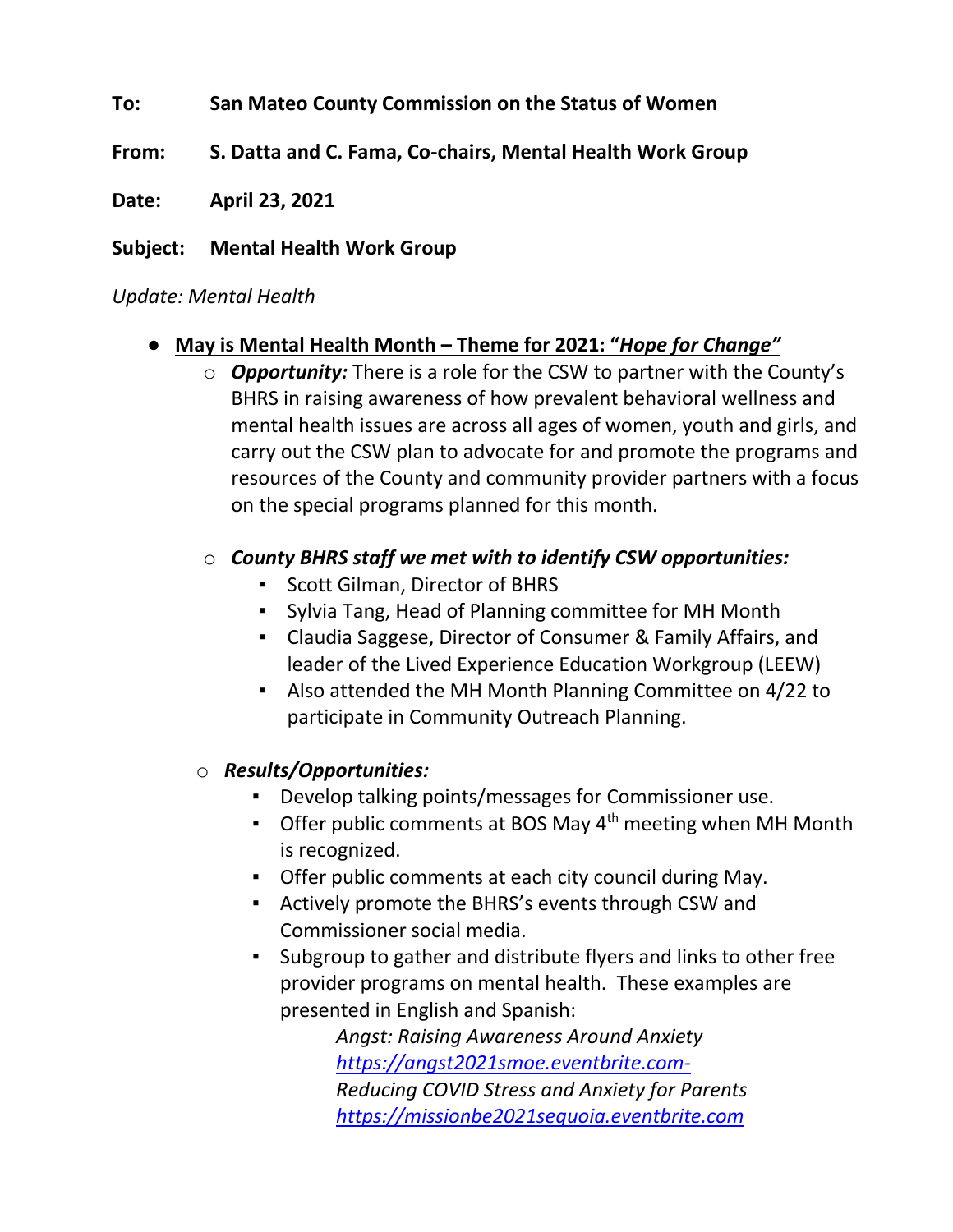## **To: San Mateo County Commission on the Status of Women**

- **From: S. Datta and C. Fama, Co-chairs, Mental Health Work Group**
- **Date: April 23, 2021**

## **Subject: Mental Health Work Group**

## *Update: Mental Health*

## ● **May is Mental Health Month – Theme for 2021: "***Hope for Change"*

o *Opportunity:* There is a role for the CSW to partner with the County's BHRS in raising awareness of how prevalent behavioral wellness and mental health issues are across all ages of women, youth and girls, and carry out the CSW plan to advocate for and promote the programs and resources of the County and community provider partners with a focus on the special programs planned for this month.

# o *County BHRS staff we met with to identify CSW opportunities:*

- Scott Gilman, Director of BHRS
- Sylvia Tang, Head of Planning committee for MH Month
- Claudia Saggese, Director of Consumer & Family Affairs, and leader of the Lived Experience Education Workgroup (LEEW)
- Also attended the MH Month Planning Committee on 4/22 to participate in Community Outreach Planning.

## o *Results/Opportunities:*

- Develop talking points/messages for Commissioner use.
- **Offer public comments at BOS May**  $4<sup>th</sup>$  **meeting when MH Month** is recognized.
- Offer public comments at each city council during May.
- Actively promote the BHRS's events through CSW and Commissioner social media.
- Subgroup to gather and distribute flyers and links to other free provider programs on mental health. These examples are presented in English and Spanish:

*Angst: Raising Awareness Around Anxiety [https://angst2021smoe.eventbrite.com-](about:blank)Reducing COVID Stress and Anxiety for Parents [https://missionbe2021sequoia.eventbrite.com](https://missionbe2021sequoia.eventbrite.com/)*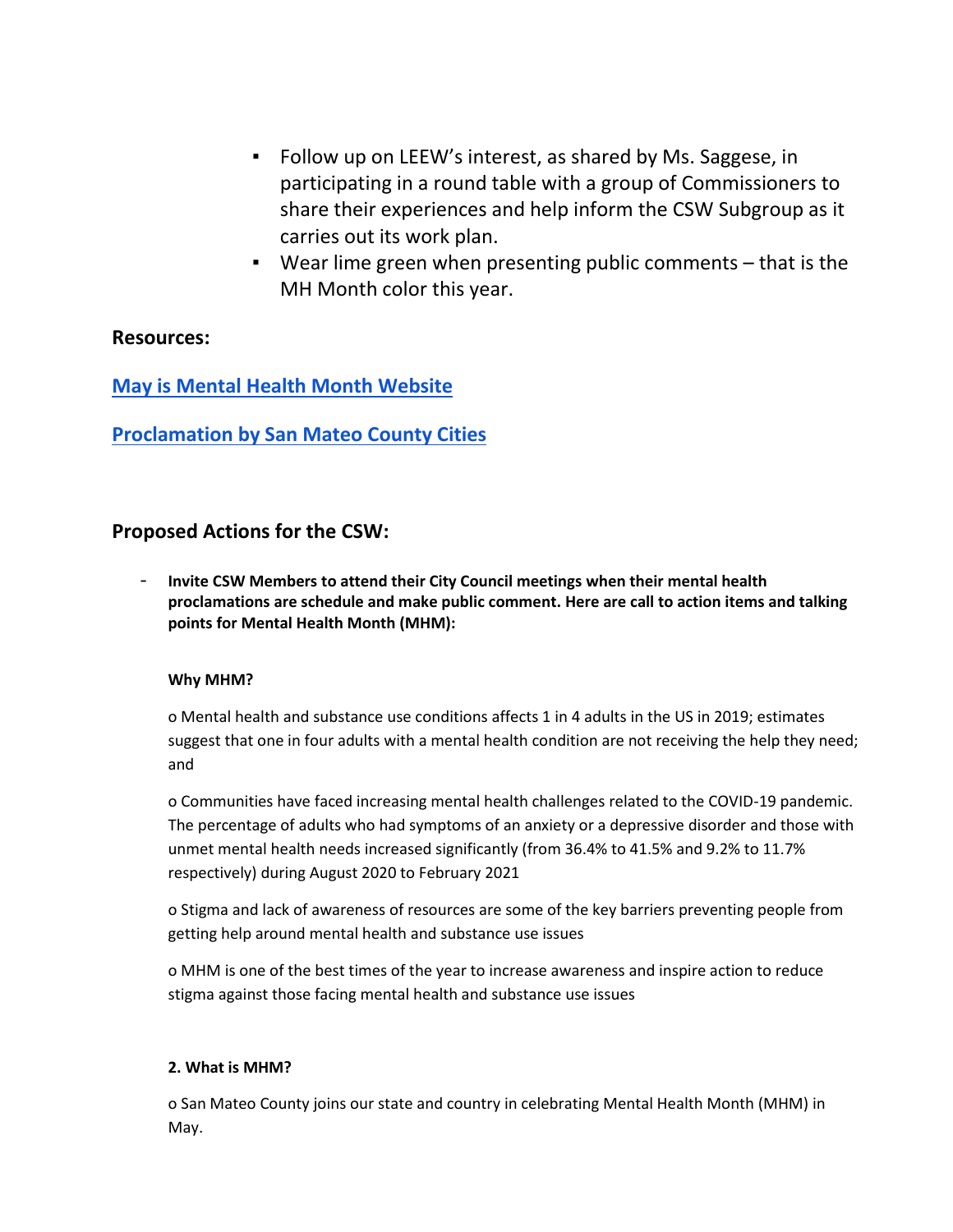- Follow up on LEEW's interest, as shared by Ms. Saggese, in participating in a round table with a group of Commissioners to share their experiences and help inform the CSW Subgroup as it carries out its work plan.
- Wear lime green when presenting public comments that is the MH Month color this year.

### **Resources:**

**[May is Mental Health Month Website](https://www.smchealth.org/post/mental-health-month)**

**[Proclamation by San Mateo County Cities](https://docs.google.com/spreadsheets/d/1tue2I2yEswnO6_d615_W8vBFziMIkNZVl290CePLMLE/edit#gid=0)**

### **Proposed Actions for the CSW:**

- **Invite CSW Members to attend their City Council meetings when their mental health proclamations are schedule and make public comment. Here are call to action items and talking points for Mental Health Month (MHM):** 

### **Why MHM?**

o Mental health and substance use conditions affects 1 in 4 adults in the US in 2019; estimates suggest that one in four adults with a mental health condition are not receiving the help they need; and

o Communities have faced increasing mental health challenges related to the COVID-19 pandemic. The percentage of adults who had symptoms of an anxiety or a depressive disorder and those with unmet mental health needs increased significantly (from 36.4% to 41.5% and 9.2% to 11.7% respectively) during August 2020 to February 2021

o Stigma and lack of awareness of resources are some of the key barriers preventing people from getting help around mental health and substance use issues

o MHM is one of the best times of the year to increase awareness and inspire action to reduce stigma against those facing mental health and substance use issues

### **2. What is MHM?**

o San Mateo County joins our state and country in celebrating Mental Health Month (MHM) in May.